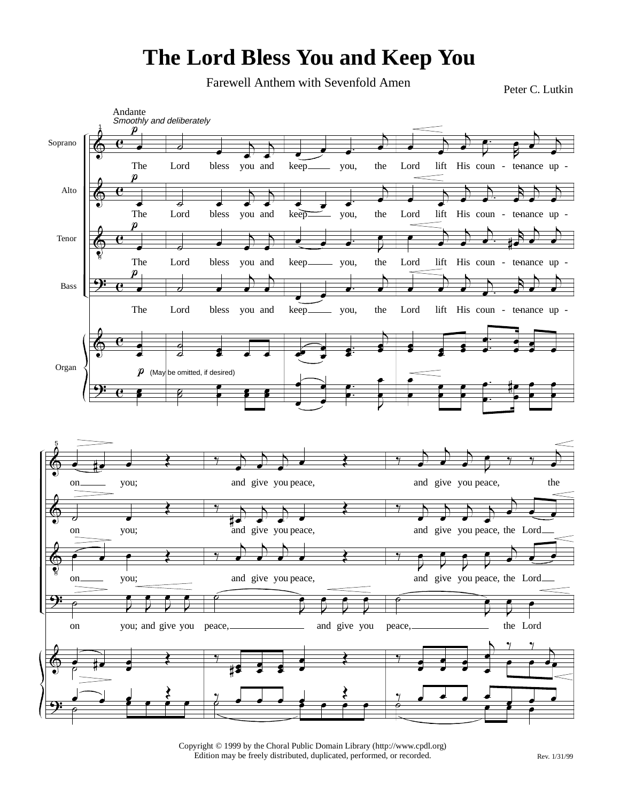## **The Lord Bless You and Keep You**

Farewell Anthem with Sevenfold Amen<br>
Peter C. Lutkin



Copyright © 1999 by the Choral Public Domain Library (http://www.cpdl.org) Edition may be freely distributed, duplicated, performed, or recorded. Rev. 1/31/99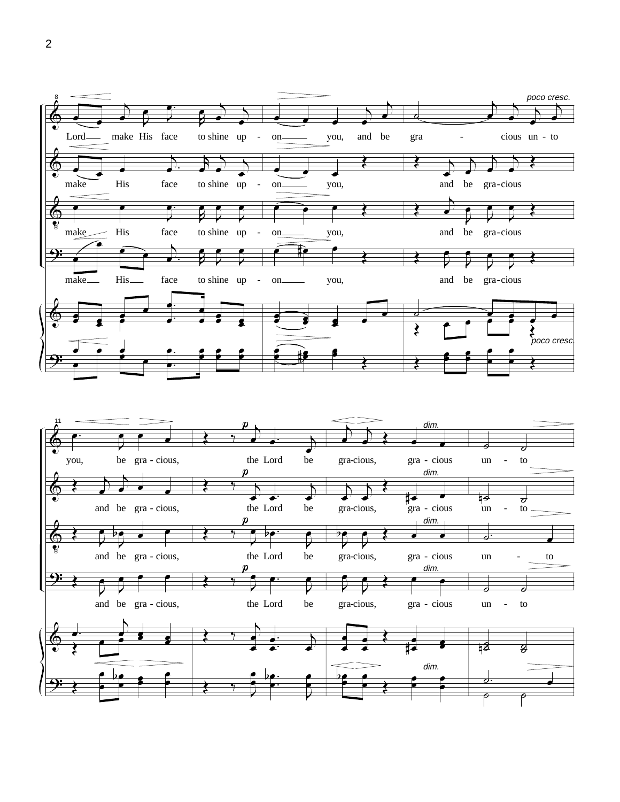